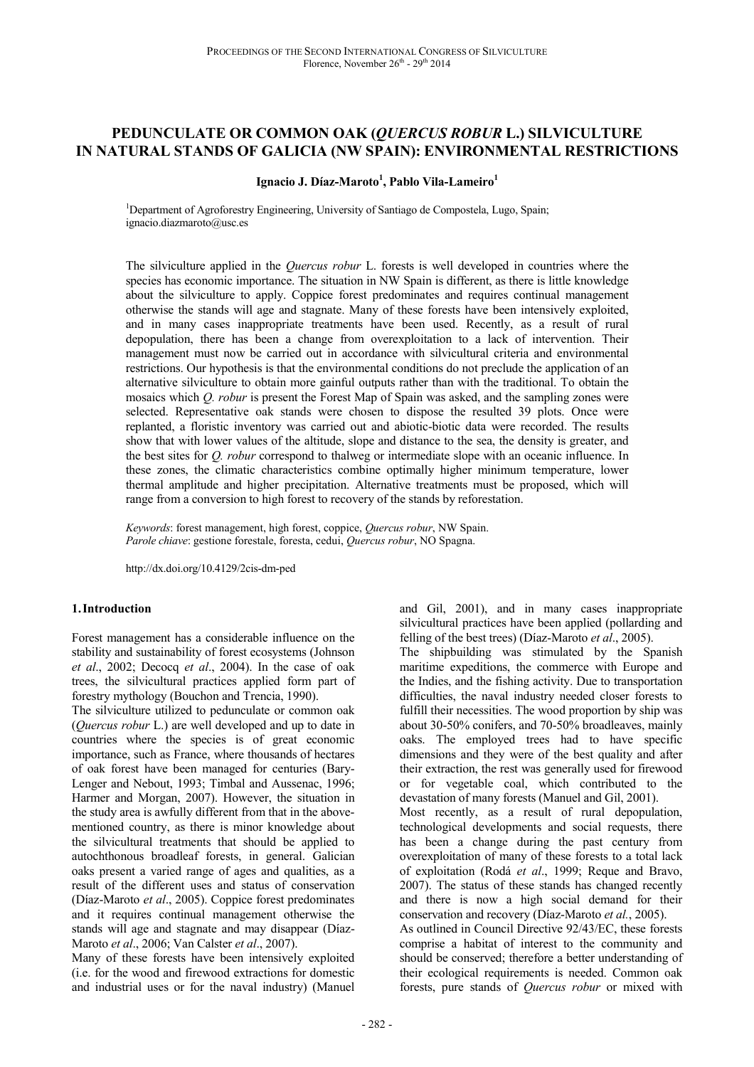# **PEDUNCULATE OR COMMON OAK (***QUERCUS ROBUR* **L.) SILVICULTURE IN NATURAL STANDS OF GALICIA (NW SPAIN): ENVIRONMENTAL RESTRICTIONS**

## **Ignacio J. Díaz-Maroto<sup>1</sup> , Pablo Vila-Lameiro<sup>1</sup>**

<sup>1</sup>Department of Agroforestry Engineering, University of Santiago de Compostela, Lugo, Spain; ignacio.diazmaroto@usc.es

The silviculture applied in the *Quercus robur* L. forests is well developed in countries where the species has economic importance. The situation in NW Spain is different, as there is little knowledge about the silviculture to apply. Coppice forest predominates and requires continual management otherwise the stands will age and stagnate. Many of these forests have been intensively exploited, and in many cases inappropriate treatments have been used. Recently, as a result of rural depopulation, there has been a change from overexploitation to a lack of intervention. Their management must now be carried out in accordance with silvicultural criteria and environmental restrictions. Our hypothesis is that the environmental conditions do not preclude the application of an alternative silviculture to obtain more gainful outputs rather than with the traditional. To obtain the mosaics which *Q. robur* is present the Forest Map of Spain was asked, and the sampling zones were selected. Representative oak stands were chosen to dispose the resulted 39 plots. Once were replanted, a floristic inventory was carried out and abiotic-biotic data were recorded. The results show that with lower values of the altitude, slope and distance to the sea, the density is greater, and the best sites for *Q. robur* correspond to thalweg or intermediate slope with an oceanic influence. In these zones, the climatic characteristics combine optimally higher minimum temperature, lower thermal amplitude and higher precipitation. Alternative treatments must be proposed, which will range from a conversion to high forest to recovery of the stands by reforestation.

*Keywords*: forest management, high forest, coppice, *Quercus robur*, NW Spain. *Parole chiave*: gestione forestale, foresta, cedui, *Quercus robur*, NO Spagna.

http://dx.doi.org/10.4129/2cis-dm-ped

#### **1.Introduction**

Forest management has a considerable influence on the stability and sustainability of forest ecosystems (Johnson *et al*., 2002; Decocq *et al*., 2004). In the case of oak trees, the silvicultural practices applied form part of forestry mythology (Bouchon and Trencia, 1990).

The silviculture utilized to pedunculate or common oak (*Quercus robur* L.) are well developed and up to date in countries where the species is of great economic importance, such as France, where thousands of hectares of oak forest have been managed for centuries (Bary-Lenger and Nebout, 1993; Timbal and Aussenac, 1996; Harmer and Morgan, 2007). However, the situation in the study area is awfully different from that in the abovementioned country, as there is minor knowledge about the silvicultural treatments that should be applied to autochthonous broadleaf forests, in general. Galician oaks present a varied range of ages and qualities, as a result of the different uses and status of conservation (Díaz-Maroto *et al*., 2005). Coppice forest predominates and it requires continual management otherwise the stands will age and stagnate and may disappear (Díaz-Maroto *et al*., 2006; Van Calster *et al*., 2007).

Many of these forests have been intensively exploited (i.e. for the wood and firewood extractions for domestic and industrial uses or for the naval industry) (Manuel

and Gil, 2001), and in many cases inappropriate silvicultural practices have been applied (pollarding and felling of the best trees) (Díaz-Maroto *et al*., 2005).

The shipbuilding was stimulated by the Spanish maritime expeditions, the commerce with Europe and the Indies, and the fishing activity. Due to transportation difficulties, the naval industry needed closer forests to fulfill their necessities. The wood proportion by ship was about 30-50% conifers, and 70-50% broadleaves, mainly oaks. The employed trees had to have specific dimensions and they were of the best quality and after their extraction, the rest was generally used for firewood or for vegetable coal, which contributed to the devastation of many forests (Manuel and Gil, 2001). Most recently, as a result of rural depopulation,

technological developments and social requests, there has been a change during the past century from overexploitation of many of these forests to a total lack of exploitation (Rodá *et al*., 1999; Reque and Bravo, 2007). The status of these stands has changed recently and there is now a high social demand for their conservation and recovery (Díaz-Maroto *et al.*, 2005). As outlined in Council Directive 92/43/EC, these forests

comprise a habitat of interest to the community and should be conserved; therefore a better understanding of their ecological requirements is needed. Common oak forests, pure stands of *Quercus robur* or mixed with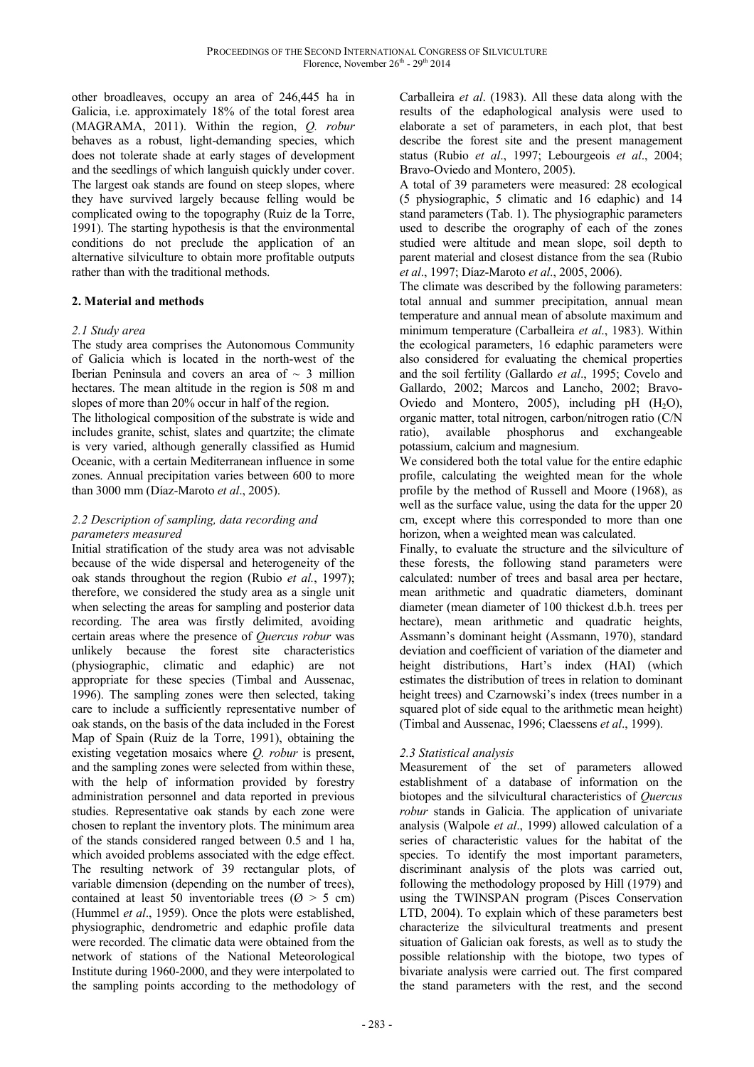other broadleaves, occupy an area of 246,445 ha in Galicia, i.e. approximately 18% of the total forest area (MAGRAMA, 2011). Within the region, *Q. robur* behaves as a robust, light-demanding species, which does not tolerate shade at early stages of development and the seedlings of which languish quickly under cover. The largest oak stands are found on steep slopes, where they have survived largely because felling would be complicated owing to the topography (Ruiz de la Torre, 1991). The starting hypothesis is that the environmental conditions do not preclude the application of an alternative silviculture to obtain more profitable outputs rather than with the traditional methods.

## **2. Material and methods**

## *2.1 Study area*

The study area comprises the Autonomous Community of Galicia which is located in the north-west of the Iberian Peninsula and covers an area of  $\sim$  3 million hectares. The mean altitude in the region is 508 m and slopes of more than 20% occur in half of the region.

The lithological composition of the substrate is wide and includes granite, schist, slates and quartzite; the climate is very varied, although generally classified as Humid Oceanic, with a certain Mediterranean influence in some zones. Annual precipitation varies between 600 to more than 3000 mm (Díaz-Maroto *et al*., 2005).

## *2.2 Description of sampling, data recording and parameters measured*

Initial stratification of the study area was not advisable because of the wide dispersal and heterogeneity of the oak stands throughout the region (Rubio *et al.*, 1997); therefore, we considered the study area as a single unit when selecting the areas for sampling and posterior data recording. The area was firstly delimited, avoiding certain areas where the presence of *Quercus robur* was unlikely because the forest site characteristics (physiographic, climatic and edaphic) are not appropriate for these species (Timbal and Aussenac, 1996). The sampling zones were then selected, taking care to include a sufficiently representative number of oak stands, on the basis of the data included in the Forest Map of Spain (Ruiz de la Torre, 1991), obtaining the existing vegetation mosaics where *Q. robur* is present, and the sampling zones were selected from within these, with the help of information provided by forestry administration personnel and data reported in previous studies. Representative oak stands by each zone were chosen to replant the inventory plots. The minimum area of the stands considered ranged between 0.5 and 1 ha, which avoided problems associated with the edge effect. The resulting network of 39 rectangular plots, of variable dimension (depending on the number of trees), contained at least 50 inventoriable trees ( $\varnothing$  > 5 cm) (Hummel *et al*., 1959). Once the plots were established, physiographic, dendrometric and edaphic profile data were recorded. The climatic data were obtained from the network of stations of the National Meteorological Institute during 1960-2000, and they were interpolated to the sampling points according to the methodology of

Carballeira *et al*. (1983). All these data along with the results of the edaphological analysis were used to elaborate a set of parameters, in each plot, that best describe the forest site and the present management status (Rubio *et al*., 1997; Lebourgeois *et al*., 2004; Bravo-Oviedo and Montero, 2005).

A total of 39 parameters were measured: 28 ecological (5 physiographic, 5 climatic and 16 edaphic) and 14 stand parameters (Tab. 1). The physiographic parameters used to describe the orography of each of the zones studied were altitude and mean slope, soil depth to parent material and closest distance from the sea (Rubio *et al*., 1997; Díaz-Maroto *et al*., 2005, 2006).

The climate was described by the following parameters: total annual and summer precipitation, annual mean temperature and annual mean of absolute maximum and minimum temperature (Carballeira *et al*., 1983). Within the ecological parameters, 16 edaphic parameters were also considered for evaluating the chemical properties and the soil fertility (Gallardo *et al*., 1995; Covelo and Gallardo, 2002; Marcos and Lancho, 2002; Bravo-Oviedo and Montero, 2005), including pH  $(H_2O)$ , organic matter, total nitrogen, carbon/nitrogen ratio (C/N ratio), available phosphorus and exchangeable potassium, calcium and magnesium.

We considered both the total value for the entire edaphic profile, calculating the weighted mean for the whole profile by the method of Russell and Moore (1968), as well as the surface value, using the data for the upper 20 cm, except where this corresponded to more than one horizon, when a weighted mean was calculated.

Finally, to evaluate the structure and the silviculture of these forests, the following stand parameters were calculated: number of trees and basal area per hectare, mean arithmetic and quadratic diameters, dominant diameter (mean diameter of 100 thickest d.b.h. trees per hectare), mean arithmetic and quadratic heights, Assmann's dominant height (Assmann, 1970), standard deviation and coefficient of variation of the diameter and height distributions, Hart's index (HAI) (which estimates the distribution of trees in relation to dominant height trees) and Czarnowski's index (trees number in a squared plot of side equal to the arithmetic mean height) (Timbal and Aussenac, 1996; Claessens *et al*., 1999).

# *2.3 Statistical analysis*

Measurement of the set of parameters allowed establishment of a database of information on the biotopes and the silvicultural characteristics of *Quercus robur* stands in Galicia. The application of univariate analysis (Walpole *et al*., 1999) allowed calculation of a series of characteristic values for the habitat of the species. To identify the most important parameters, discriminant analysis of the plots was carried out, following the methodology proposed by Hill (1979) and using the TWINSPAN program (Pisces Conservation LTD, 2004). To explain which of these parameters best characterize the silvicultural treatments and present situation of Galician oak forests, as well as to study the possible relationship with the biotope, two types of bivariate analysis were carried out. The first compared the stand parameters with the rest, and the second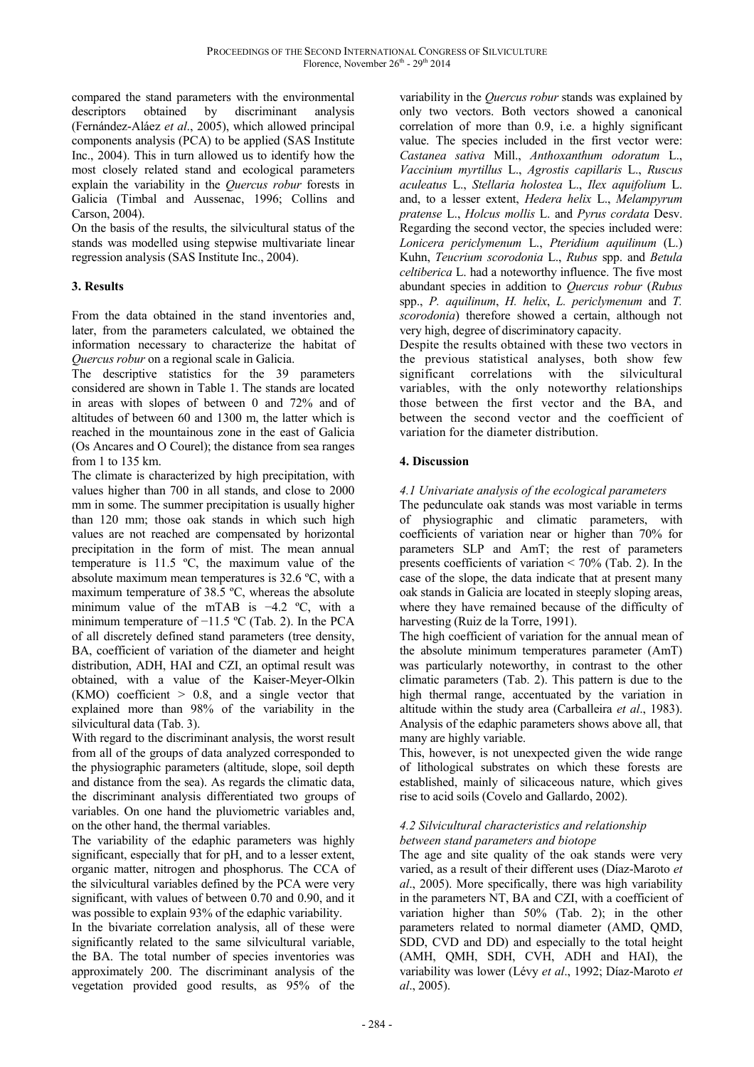compared the stand parameters with the environmental descriptors obtained by discriminant analysis (Fernández-Aláez *et al*., 2005), which allowed principal components analysis (PCA) to be applied (SAS Institute Inc., 2004). This in turn allowed us to identify how the most closely related stand and ecological parameters explain the variability in the *Quercus robur* forests in Galicia (Timbal and Aussenac, 1996; Collins and Carson, 2004).

On the basis of the results, the silvicultural status of the stands was modelled using stepwise multivariate linear regression analysis (SAS Institute Inc., 2004).

# **3. Results**

From the data obtained in the stand inventories and, later, from the parameters calculated, we obtained the information necessary to characterize the habitat of *Quercus robur* on a regional scale in Galicia.

The descriptive statistics for the 39 parameters considered are shown in Table 1. The stands are located in areas with slopes of between 0 and 72% and of altitudes of between 60 and 1300 m, the latter which is reached in the mountainous zone in the east of Galicia (Os Ancares and O Courel); the distance from sea ranges from 1 to 135 km.

The climate is characterized by high precipitation, with values higher than 700 in all stands, and close to 2000 mm in some. The summer precipitation is usually higher than 120 mm; those oak stands in which such high values are not reached are compensated by horizontal precipitation in the form of mist. The mean annual temperature is 11.5 ºC, the maximum value of the absolute maximum mean temperatures is 32.6 ºC, with a maximum temperature of 38.5 ºC, whereas the absolute minimum value of the mTAB is −4.2 ºC, with a minimum temperature of −11.5 ºC (Tab. 2). In the PCA of all discretely defined stand parameters (tree density, BA, coefficient of variation of the diameter and height distribution, ADH, HAI and CZI, an optimal result was obtained, with a value of the Kaiser-Meyer-Olkin (KMO) coefficient > 0.8, and a single vector that explained more than 98% of the variability in the silvicultural data (Tab. 3).

With regard to the discriminant analysis, the worst result from all of the groups of data analyzed corresponded to the physiographic parameters (altitude, slope, soil depth and distance from the sea). As regards the climatic data, the discriminant analysis differentiated two groups of variables. On one hand the pluviometric variables and, on the other hand, the thermal variables.

The variability of the edaphic parameters was highly significant, especially that for pH, and to a lesser extent, organic matter, nitrogen and phosphorus. The CCA of the silvicultural variables defined by the PCA were very significant, with values of between 0.70 and 0.90, and it was possible to explain 93% of the edaphic variability.

In the bivariate correlation analysis, all of these were significantly related to the same silvicultural variable, the BA. The total number of species inventories was approximately 200. The discriminant analysis of the vegetation provided good results, as 95% of the

variability in the *Quercus robur* stands was explained by only two vectors. Both vectors showed a canonical correlation of more than 0.9, i.e. a highly significant value. The species included in the first vector were: *Castanea sativa* Mill., *Anthoxanthum odoratum* L., *Vaccinium myrtillus* L., *Agrostis capillaris* L., *Ruscus aculeatus* L., *Stellaria holostea* L., *Ilex aquifolium* L. and, to a lesser extent, *Hedera helix* L., *Melampyrum pratense* L., *Holcus mollis* L. and *Pyrus cordata* Desv. Regarding the second vector, the species included were: *Lonicera periclymenum* L., *Pteridium aquilinum* (L.) Kuhn, *Teucrium scorodonia* L., *Rubus* spp. and *Betula celtiberica* L. had a noteworthy influence. The five most abundant species in addition to *Quercus robur* (*Rubus* spp., *P. aquilinum*, *H. helix*, *L. periclymenum* and *T. scorodonia*) therefore showed a certain, although not very high, degree of discriminatory capacity.

Despite the results obtained with these two vectors in the previous statistical analyses, both show few significant correlations with the silvicultural variables, with the only noteworthy relationships those between the first vector and the BA, and between the second vector and the coefficient of variation for the diameter distribution.

# **4. Discussion**

# *4.1 Univariate analysis of the ecological parameters*

The pedunculate oak stands was most variable in terms of physiographic and climatic parameters, with coefficients of variation near or higher than 70% for parameters SLP and AmT; the rest of parameters presents coefficients of variation  $< 70\%$  (Tab. 2). In the case of the slope, the data indicate that at present many oak stands in Galicia are located in steeply sloping areas, where they have remained because of the difficulty of harvesting (Ruiz de la Torre, 1991).

The high coefficient of variation for the annual mean of the absolute minimum temperatures parameter (AmT) was particularly noteworthy, in contrast to the other climatic parameters (Tab. 2). This pattern is due to the high thermal range, accentuated by the variation in altitude within the study area (Carballeira *et al*., 1983). Analysis of the edaphic parameters shows above all, that many are highly variable.

This, however, is not unexpected given the wide range of lithological substrates on which these forests are established, mainly of silicaceous nature, which gives rise to acid soils (Covelo and Gallardo, 2002).

## *4.2 Silvicultural characteristics and relationship between stand parameters and biotope*

The age and site quality of the oak stands were very varied, as a result of their different uses (Díaz-Maroto *et al*., 2005). More specifically, there was high variability in the parameters NT, BA and CZI, with a coefficient of variation higher than 50% (Tab. 2); in the other parameters related to normal diameter (AMD, QMD, SDD, CVD and DD) and especially to the total height (AMH, QMH, SDH, CVH, ADH and HAI), the variability was lower (Lévy *et al*., 1992; Díaz-Maroto *et al*., 2005).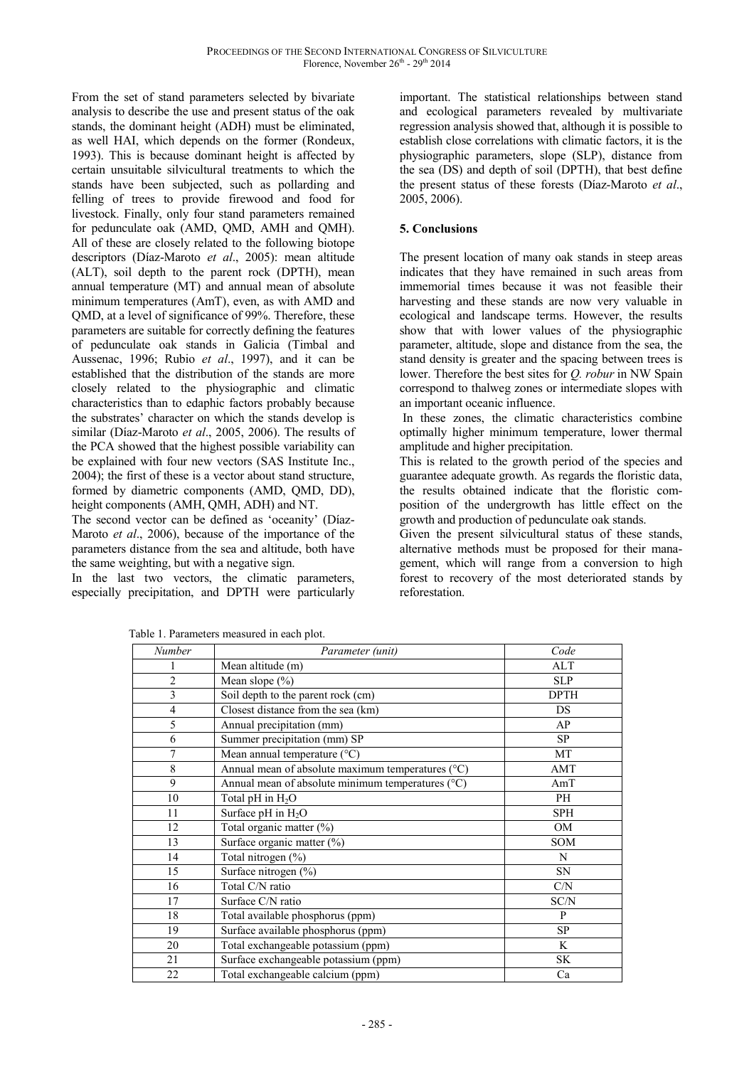From the set of stand parameters selected by bivariate analysis to describe the use and present status of the oak stands, the dominant height (ADH) must be eliminated, as well HAI, which depends on the former (Rondeux, 1993). This is because dominant height is affected by certain unsuitable silvicultural treatments to which the stands have been subjected, such as pollarding and felling of trees to provide firewood and food for livestock. Finally, only four stand parameters remained for pedunculate oak (AMD, QMD, AMH and QMH). All of these are closely related to the following biotope descriptors (Díaz-Maroto *et al*., 2005): mean altitude (ALT), soil depth to the parent rock (DPTH), mean annual temperature (MT) and annual mean of absolute minimum temperatures (AmT), even, as with AMD and QMD, at a level of significance of 99%. Therefore, these parameters are suitable for correctly defining the features of pedunculate oak stands in Galicia (Timbal and Aussenac, 1996; Rubio *et al*., 1997), and it can be established that the distribution of the stands are more closely related to the physiographic and climatic characteristics than to edaphic factors probably because the substrates' character on which the stands develop is similar (Díaz-Maroto *et al*., 2005, 2006). The results of the PCA showed that the highest possible variability can be explained with four new vectors (SAS Institute Inc., 2004); the first of these is a vector about stand structure, formed by diametric components (AMD, QMD, DD), height components (AMH, QMH, ADH) and NT.

The second vector can be defined as 'oceanity' (Díaz-Maroto *et al*., 2006), because of the importance of the parameters distance from the sea and altitude, both have the same weighting, but with a negative sign.

In the last two vectors, the climatic parameters, especially precipitation, and DPTH were particularly

important. The statistical relationships between stand and ecological parameters revealed by multivariate regression analysis showed that, although it is possible to establish close correlations with climatic factors, it is the physiographic parameters, slope (SLP), distance from the sea (DS) and depth of soil (DPTH), that best define the present status of these forests (Díaz-Maroto *et al*., 2005, 2006).

# **5. Conclusions**

The present location of many oak stands in steep areas indicates that they have remained in such areas from immemorial times because it was not feasible their harvesting and these stands are now very valuable in ecological and landscape terms. However, the results show that with lower values of the physiographic parameter, altitude, slope and distance from the sea, the stand density is greater and the spacing between trees is lower. Therefore the best sites for *Q. robur* in NW Spain correspond to thalweg zones or intermediate slopes with an important oceanic influence.

 In these zones, the climatic characteristics combine optimally higher minimum temperature, lower thermal amplitude and higher precipitation.

This is related to the growth period of the species and guarantee adequate growth. As regards the floristic data, the results obtained indicate that the floristic composition of the undergrowth has little effect on the growth and production of pedunculate oak stands.

Given the present silvicultural status of these stands, alternative methods must be proposed for their management, which will range from a conversion to high forest to recovery of the most deteriorated stands by reforestation.

Table 1. Parameters measured in each plot.

| Number         | Parameter (unit)                                  | Code        |
|----------------|---------------------------------------------------|-------------|
|                | Mean altitude (m)                                 | <b>ALT</b>  |
| $\overline{2}$ | Mean slope $(\% )$                                | <b>SLP</b>  |
| 3              | Soil depth to the parent rock (cm)                | <b>DPTH</b> |
| 4              | Closest distance from the sea (km)                | <b>DS</b>   |
| 5              | Annual precipitation (mm)                         | AP          |
| 6              | Summer precipitation (mm) SP                      | <b>SP</b>   |
| 7              | Mean annual temperature $(^{\circ}C)$             | MT          |
| 8              | Annual mean of absolute maximum temperatures (°C) | AMT         |
| 9              | Annual mean of absolute minimum temperatures (°C) | AmT         |
| 10             | Total pH in $H_2O$                                | PH          |
| 11             | Surface pH in $H_2O$                              | SPH         |
| 12             | Total organic matter (%)                          | <b>OM</b>   |
| 13             | Surface organic matter (%)                        | SOM         |
| 14             | Total nitrogen (%)                                | N           |
| 15             | Surface nitrogen (%)                              | <b>SN</b>   |
| 16             | Total C/N ratio                                   | C/N         |
| 17             | Surface C/N ratio                                 | SC/N        |
| 18             | Total available phosphorus (ppm)                  | P           |
| 19             | Surface available phosphorus (ppm)                | <b>SP</b>   |
| 20             | Total exchangeable potassium (ppm)                | K           |
| 21             | Surface exchangeable potassium (ppm)              | SK          |
| 22             | Total exchangeable calcium (ppm)                  | Ca          |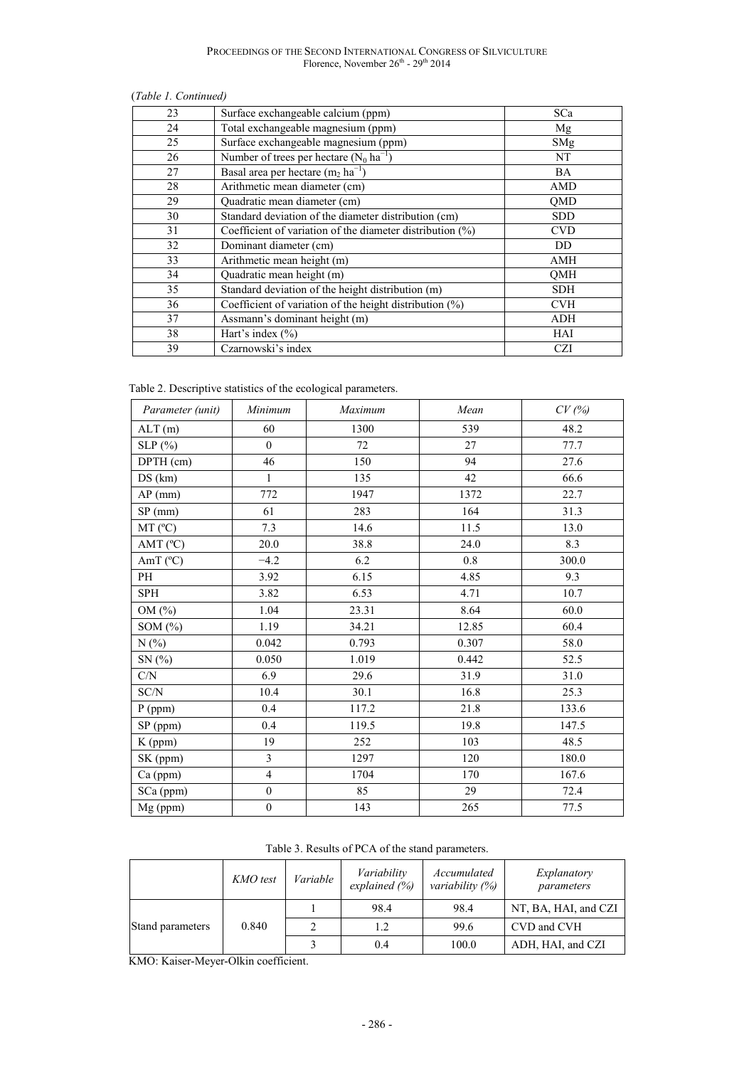#### (*Table 1. Continued)*

| Surface exchangeable calcium (ppm)                           | SCa        |
|--------------------------------------------------------------|------------|
| Total exchangeable magnesium (ppm)                           | Mg         |
| Surface exchangeable magnesium (ppm)                         | SMg        |
| Number of trees per hectare $(N_0 \text{ ha}^{-1})$          | NT         |
| Basal area per hectare $(m_2 \text{ ha}^{-1})$               | <b>BA</b>  |
| Arithmetic mean diameter (cm)                                | AMD        |
| Quadratic mean diameter (cm)                                 | QMD        |
| Standard deviation of the diameter distribution (cm)         | <b>SDD</b> |
| Coefficient of variation of the diameter distribution $(\%)$ | <b>CVD</b> |
| Dominant diameter (cm)                                       | <b>DD</b>  |
| Arithmetic mean height (m)                                   | AMH        |
| Quadratic mean height (m)                                    | <b>QMH</b> |
| Standard deviation of the height distribution (m)            | <b>SDH</b> |
| Coefficient of variation of the height distribution (%)      | <b>CVH</b> |
| Assmann's dominant height (m)                                | ADH        |
| Hart's index $(\% )$                                         | HAI        |
| Czarnowski's index                                           | <b>CZI</b> |
|                                                              |            |

Table 2. Descriptive statistics of the ecological parameters.

| Parameter (unit)  | Minimum          | Maximum | Mean  | CV(%) |
|-------------------|------------------|---------|-------|-------|
| ALT(m)            | 60               | 1300    | 539   | 48.2  |
| SLP(%)            | $\boldsymbol{0}$ | 72      | 27    | 77.7  |
| DPTH (cm)         | 46               | 150     | 94    | 27.6  |
| DS (km)           | $\mathbf{1}$     | 135     | 42    | 66.6  |
| $AP$ (mm)         | 772              | 1947    | 1372  | 22.7  |
| $SP$ (mm)         | 61               | 283     | 164   | 31.3  |
| $MT(^{\circ}C)$   | 7.3              | 14.6    | 11.5  | 13.0  |
| AMT $(^{\circ}C)$ | 20.0             | 38.8    | 24.0  | 8.3   |
| AmT $(^{\circ}C)$ | $-4.2$           | 6.2     | 0.8   | 300.0 |
| PH                | 3.92             | 6.15    | 4.85  | 9.3   |
| <b>SPH</b>        | 3.82             | 6.53    | 4.71  | 10.7  |
| OM (%)            | 1.04             | 23.31   | 8.64  | 60.0  |
| SOM $(\%)$        | 1.19             | 34.21   | 12.85 | 60.4  |
| N(%               | 0.042            | 0.793   | 0.307 | 58.0  |
| SN(%)             | 0.050            | 1.019   | 0.442 | 52.5  |
| C/N               | 6.9              | 29.6    | 31.9  | 31.0  |
| SC/N              | 10.4             | 30.1    | 16.8  | 25.3  |
| $P$ (ppm)         | 0.4              | 117.2   | 21.8  | 133.6 |
| SP (ppm)          | 0.4              | 119.5   | 19.8  | 147.5 |
| K (ppm)           | 19               | 252     | 103   | 48.5  |
| SK (ppm)          | $\overline{3}$   | 1297    | 120   | 180.0 |
| Ca (ppm)          | $\overline{4}$   | 1704    | 170   | 167.6 |
| SCa (ppm)         | $\boldsymbol{0}$ | 85      | 29    | 72.4  |
| Mg (ppm)          | $\boldsymbol{0}$ | 143     | 265   | 77.5  |

| Table 3. Results of PCA of the stand parameters. |  |
|--------------------------------------------------|--|
|--------------------------------------------------|--|

|                  | KMO test | Variable | Variability<br>explained $(\% )$ | Accumulated<br>variability $(\%)$ | Explanatory<br>parameters |
|------------------|----------|----------|----------------------------------|-----------------------------------|---------------------------|
| Stand parameters | 0.840    |          | 98.4                             | 98.4                              | NT, BA, HAI, and CZI      |
|                  |          |          | 1.2                              | 99.6                              | CVD and CVH               |
|                  |          |          | 0.4                              | 100.0                             | ADH, HAI, and CZI         |

KMO: Kaiser-Meyer-Olkin coefficient.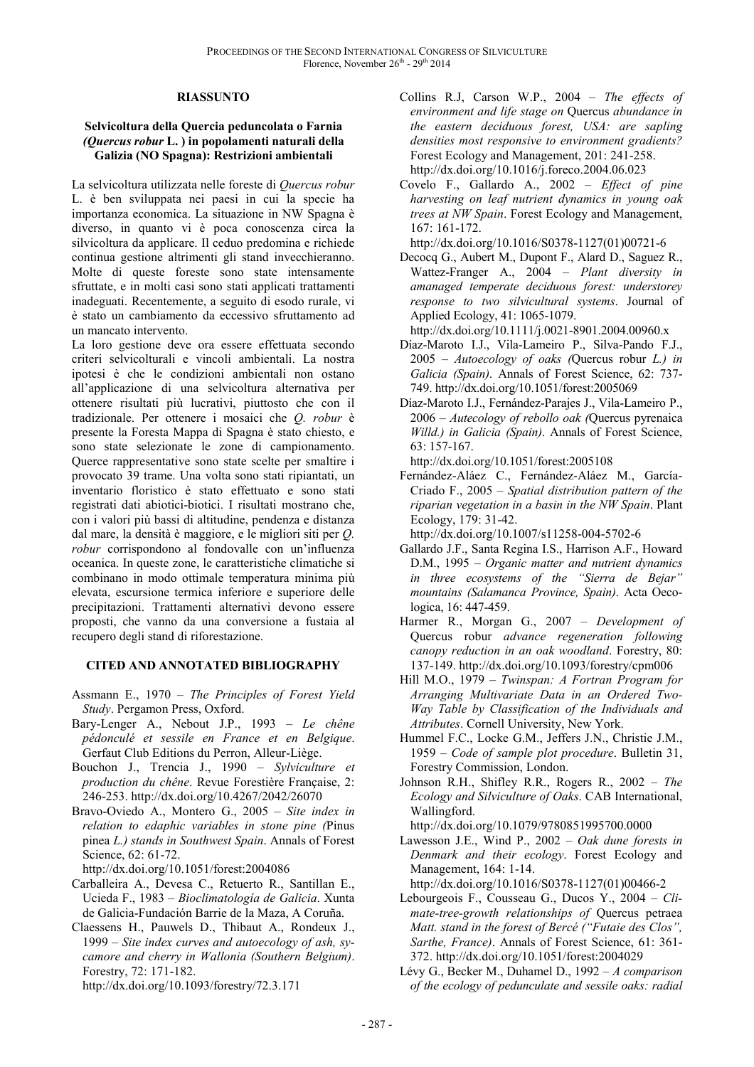#### **RIASSUNTO**

#### **Selvicoltura della Quercia peduncolata o Farnia**  *(Quercus robur* **L. ) in popolamenti naturali della Galizia (NO Spagna): Restrizioni ambientali**

La selvicoltura utilizzata nelle foreste di *Quercus robur* L. è ben sviluppata nei paesi in cui la specie ha importanza economica. La situazione in NW Spagna è diverso, in quanto vi è poca conoscenza circa la silvicoltura da applicare. Il ceduo predomina e richiede continua gestione altrimenti gli stand invecchieranno. Molte di queste foreste sono state intensamente sfruttate, e in molti casi sono stati applicati trattamenti inadeguati. Recentemente, a seguito di esodo rurale, vi è stato un cambiamento da eccessivo sfruttamento ad un mancato intervento.

La loro gestione deve ora essere effettuata secondo criteri selvicolturali e vincoli ambientali. La nostra ipotesi è che le condizioni ambientali non ostano all'applicazione di una selvicoltura alternativa per ottenere risultati più lucrativi, piuttosto che con il tradizionale. Per ottenere i mosaici che *Q. robur* è presente la Foresta Mappa di Spagna è stato chiesto, e sono state selezionate le zone di campionamento. Querce rappresentative sono state scelte per smaltire i provocato 39 trame. Una volta sono stati ripiantati, un inventario floristico è stato effettuato e sono stati registrati dati abiotici-biotici. I risultati mostrano che, con i valori più bassi di altitudine, pendenza e distanza dal mare, la densità è maggiore, e le migliori siti per *Q. robur* corrispondono al fondovalle con un'influenza oceanica. In queste zone, le caratteristiche climatiche si combinano in modo ottimale temperatura minima più elevata, escursione termica inferiore e superiore delle precipitazioni. Trattamenti alternativi devono essere proposti, che vanno da una conversione a fustaia al recupero degli stand di riforestazione.

#### **CITED AND ANNOTATED BIBLIOGRAPHY**

- Assmann E., 1970 *The Principles of Forest Yield Study*. Pergamon Press, Oxford.
- Bary-Lenger A., Nebout J.P., 1993 *Le chêne pédonculé et sessile en France et en Belgique*. Gerfaut Club Editions du Perron, Alleur-Liège.
- Bouchon J., Trencia J., 1990 *Sylviculture et production du chêne*. Revue Forestière Française, 2: 246-253. http://dx.doi.org/10.4267/2042/26070
- Bravo-Oviedo A., Montero G., 2005 *Site index in relation to edaphic variables in stone pine (*Pinus pinea *L.) stands in Southwest Spain*. Annals of Forest Science, 62: 61-72.

http://dx.doi.org/10.1051/forest:2004086

- Carballeira A., Devesa C., Retuerto R., Santillan E., Ucieda F., 1983 – *Bioclimatología de Galicia*. Xunta de Galicia-Fundación Barrie de la Maza, A Coruña.
- Claessens H., Pauwels D., Thibaut A., Rondeux J., 1999 – *Site index curves and autoecology of ash, sycamore and cherry in Wallonia (Southern Belgium)*. Forestry, 72: 171-182.
	- http://dx.doi.org/10.1093/forestry/72.3.171
- Collins R.J, Carson W.P., 2004 *The effects of environment and life stage on* Quercus *abundance in the eastern deciduous forest, USA: are sapling densities most responsive to environment gradients?* Forest Ecology and Management, 201: 241-258. http://dx.doi.org/10.1016/j.foreco.2004.06.023
- Covelo F., Gallardo A., 2002 *Effect of pine harvesting on leaf nutrient dynamics in young oak trees at NW Spain*. Forest Ecology and Management, 167: 161-172.

http://dx.doi.org/10.1016/S0378-1127(01)00721-6

Decocq G., Aubert M., Dupont F., Alard D., Saguez R., Wattez-Franger A., 2004 – *Plant diversity in amanaged temperate deciduous forest: understorey response to two silvicultural systems*. Journal of Applied Ecology, 41: 1065-1079.

http://dx.doi.org/10.1111/j.0021-8901.2004.00960.x

- Díaz-Maroto I.J., Vila-Lameiro P., Silva-Pando F.J., 2005 – *Autoecology of oaks (*Quercus robur *L.) in Galicia (Spain)*. Annals of Forest Science, 62: 737- 749. http://dx.doi.org/10.1051/forest:2005069
- Díaz-Maroto I.J., Fernández-Parajes J., Vila-Lameiro P., 2006 – *Autecology of rebollo oak (*Quercus pyrenaica *Willd.) in Galicia (Spain)*. Annals of Forest Science, 63: 157-167.

http://dx.doi.org/10.1051/forest:2005108

Fernández-Aláez C., Fernández-Aláez M., García-Criado F., 2005 – *Spatial distribution pattern of the riparian vegetation in a basin in the NW Spain*. Plant Ecology, 179: 31-42.

http://dx.doi.org/10.1007/s11258-004-5702-6

- Gallardo J.F., Santa Regina I.S., Harrison A.F., Howard D.M., 1995 – *Organic matter and nutrient dynamics in three ecosystems of the "Sierra de Bejar" mountains (Salamanca Province, Spain)*. Acta Oecologica, 16: 447-459.
- Harmer R., Morgan G., 2007 *Development of* Quercus robur *advance regeneration following canopy reduction in an oak woodland*. Forestry, 80: 137-149. http://dx.doi.org/10.1093/forestry/cpm006
- Hill M.O., 1979 *Twinspan: A Fortran Program for Arranging Multivariate Data in an Ordered Two-Way Table by Classification of the Individuals and Attributes*. Cornell University, New York.
- Hummel F.C., Locke G.M., Jeffers J.N., Christie J.M., 1959 – *Code of sample plot procedure*. Bulletin 31, Forestry Commission, London.
- Johnson R.H., Shifley R.R., Rogers R., 2002 *The Ecology and Silviculture of Oaks*. CAB International, Wallingford.

http://dx.doi.org/10.1079/9780851995700.0000

Lawesson J.E., Wind P., 2002 – *Oak dune forests in Denmark and their ecology*. Forest Ecology and Management, 164: 1-14.

http://dx.doi.org/10.1016/S0378-1127(01)00466-2

- Lebourgeois F., Cousseau G., Ducos Y., 2004 *Climate-tree-growth relationships of* Quercus petraea *Matt. stand in the forest of Bercé ("Futaie des Clos", Sarthe, France)*. Annals of Forest Science, 61: 361- 372. http://dx.doi.org/10.1051/forest:2004029
- Lévy G., Becker M., Duhamel D., 1992 *A comparison of the ecology of pedunculate and sessile oaks: radial*